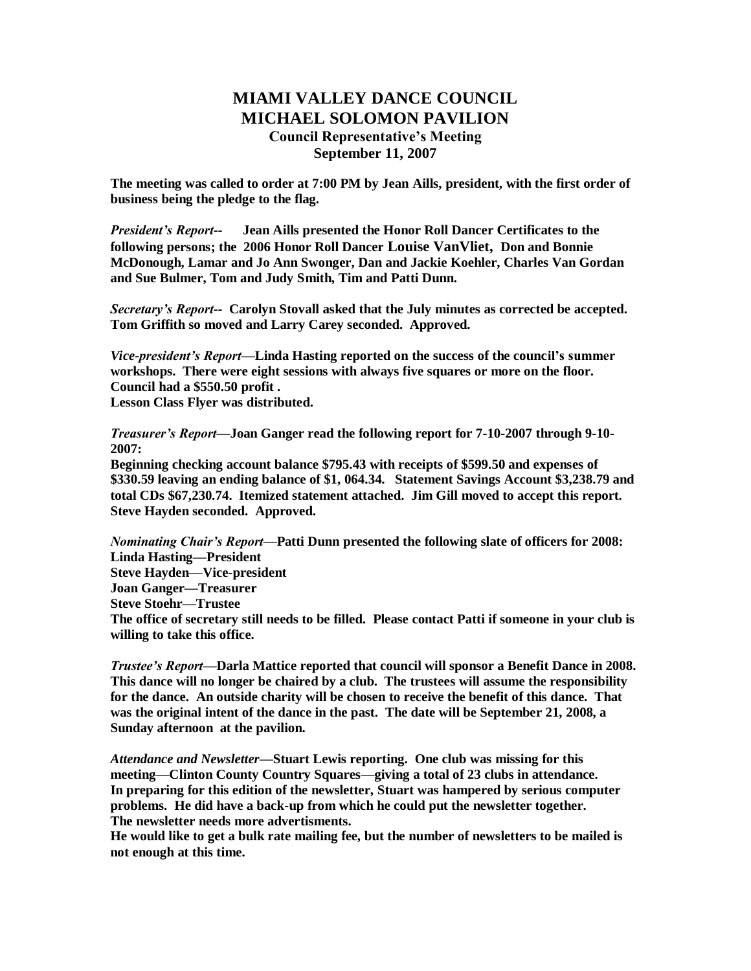## **MIAMI VALLEY DANCE COUNCIL MICHAEL SOLOMON PAVILION Council Representative's Meeting September 11, 2007**

**The meeting was called to order at 7:00 PM by Jean Aills, president, with the first order of business being the pledge to the flag.**

*President's Report--* **Jean Aills presented the Honor Roll Dancer Certificates to the following persons; the 2006 Honor Roll Dancer Louise VanVliet, Don and Bonnie McDonough, Lamar and Jo Ann Swonger, Dan and Jackie Koehler, Charles Van Gordan and Sue Bulmer, Tom and Judy Smith, Tim and Patti Dunn.** 

*Secretary's Report--* **Carolyn Stovall asked that the July minutes as corrected be accepted. Tom Griffith so moved and Larry Carey seconded. Approved.**

*Vice-president's Report—***Linda Hasting reported on the success of the council's summer workshops. There were eight sessions with always five squares or more on the floor. Council had a \$550.50 profit .**

**Lesson Class Flyer was distributed.**

*Treasurer's Report—***Joan Ganger read the following report for 7-10-2007 through 9-10- 2007:** 

**Beginning checking account balance \$795.43 with receipts of \$599.50 and expenses of \$330.59 leaving an ending balance of \$1, 064.34. Statement Savings Account \$3,238.79 and total CDs \$67,230.74. Itemized statement attached. Jim Gill moved to accept this report. Steve Hayden seconded. Approved.**

*Nominating Chair's Report—***Patti Dunn presented the following slate of officers for 2008: Linda Hasting—President Steve Hayden—Vice-president Joan Ganger—Treasurer Steve Stoehr—Trustee The office of secretary still needs to be filled. Please contact Patti if someone in your club is willing to take this office.**

*Trustee's Report—***Darla Mattice reported that council will sponsor a Benefit Dance in 2008. This dance will no longer be chaired by a club. The trustees will assume the responsibility for the dance. An outside charity will be chosen to receive the benefit of this dance. That was the original intent of the dance in the past. The date will be September 21, 2008, a Sunday afternoon at the pavilion.** 

*Attendance and Newsletter—***Stuart Lewis reporting. One club was missing for this meeting—Clinton County Country Squares—giving a total of 23 clubs in attendance. In preparing for this edition of the newsletter, Stuart was hampered by serious computer problems. He did have a back-up from which he could put the newsletter together. The newsletter needs more advertisments.**

**He would like to get a bulk rate mailing fee, but the number of newsletters to be mailed is not enough at this time.**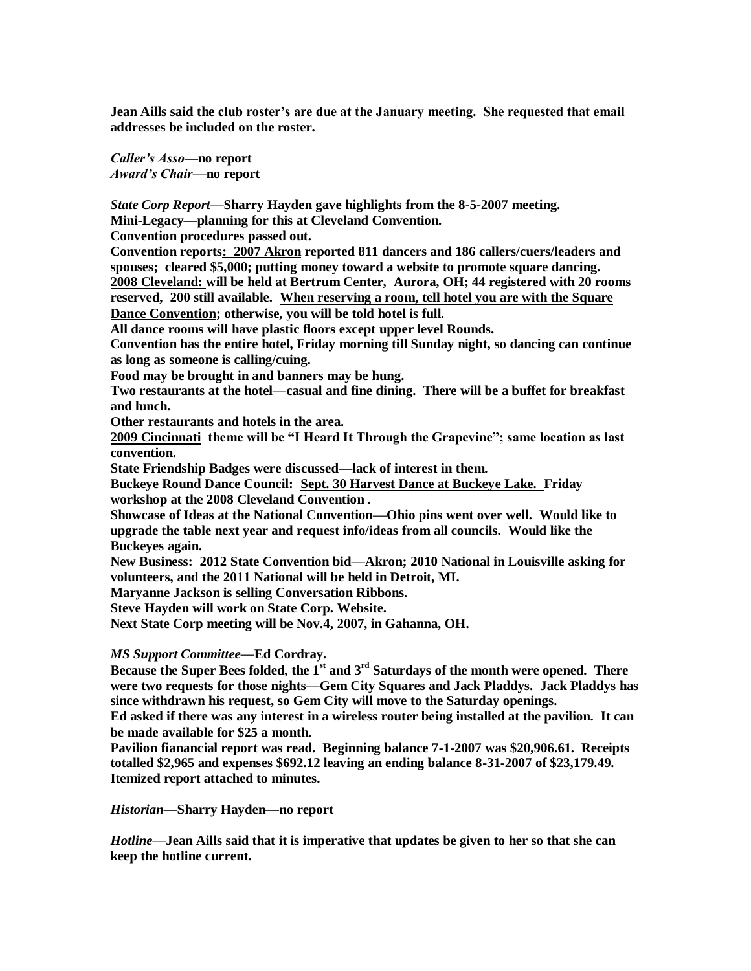**Jean Aills said the club roster's are due at the January meeting. She requested that email addresses be included on the roster.**

*Caller's Asso—***no report** *Award's Chair***—no report**

*State Corp Report—***Sharry Hayden gave highlights from the 8-5-2007 meeting.**

**Mini-Legacy—planning for this at Cleveland Convention.**

**Convention procedures passed out.**

**Convention reports: 2007 Akron reported 811 dancers and 186 callers/cuers/leaders and spouses; cleared \$5,000; putting money toward a website to promote square dancing. 2008 Cleveland: will be held at Bertrum Center, Aurora, OH; 44 registered with 20 rooms reserved, 200 still available. When reserving a room, tell hotel you are with the Square Dance Convention; otherwise, you will be told hotel is full.**

**All dance rooms will have plastic floors except upper level Rounds.**

**Convention has the entire hotel, Friday morning till Sunday night, so dancing can continue as long as someone is calling/cuing.**

**Food may be brought in and banners may be hung.**

**Two restaurants at the hotel—casual and fine dining. There will be a buffet for breakfast and lunch.**

**Other restaurants and hotels in the area.**

**2009 Cincinnati theme will be "I Heard It Through the Grapevine"; same location as last convention.**

**State Friendship Badges were discussed—lack of interest in them.**

**Buckeye Round Dance Council: Sept. 30 Harvest Dance at Buckeye Lake. Friday workshop at the 2008 Cleveland Convention .**

**Showcase of Ideas at the National Convention—Ohio pins went over well. Would like to upgrade the table next year and request info/ideas from all councils. Would like the Buckeyes again.**

**New Business: 2012 State Convention bid—Akron; 2010 National in Louisville asking for volunteers, and the 2011 National will be held in Detroit, MI.**

**Maryanne Jackson is selling Conversation Ribbons.**

**Steve Hayden will work on State Corp. Website.**

**Next State Corp meeting will be Nov.4, 2007, in Gahanna, OH.**

*MS Support Committee—***Ed Cordray.**

**Because the Super Bees folded, the 1st and 3rd Saturdays of the month were opened. There were two requests for those nights—Gem City Squares and Jack Pladdys. Jack Pladdys has since withdrawn his request, so Gem City will move to the Saturday openings.**

**Ed asked if there was any interest in a wireless router being installed at the pavilion. It can be made available for \$25 a month.** 

**Pavilion fianancial report was read. Beginning balance 7-1-2007 was \$20,906.61. Receipts totalled \$2,965 and expenses \$692.12 leaving an ending balance 8-31-2007 of \$23,179.49. Itemized report attached to minutes.**

*Historian***—Sharry Hayden—no report**

*Hotline***—Jean Aills said that it is imperative that updates be given to her so that she can keep the hotline current.**